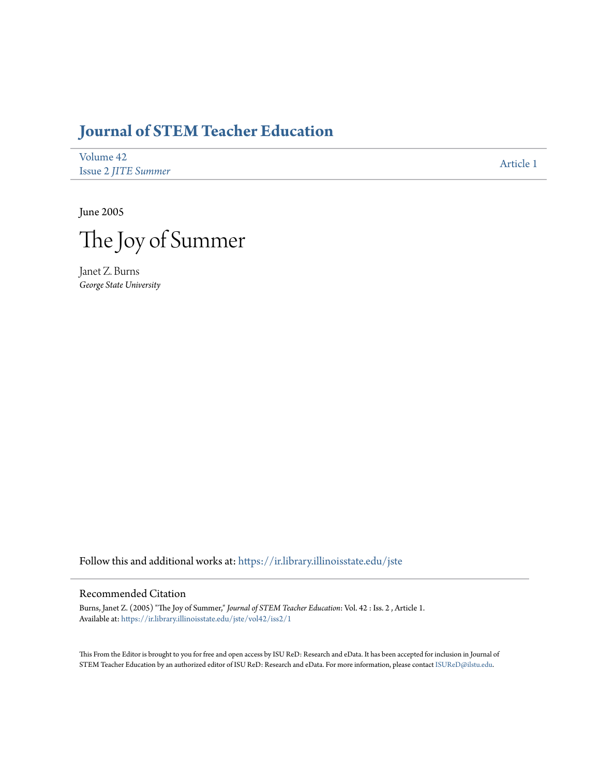# **[Journal of STEM Teacher Education](https://ir.library.illinoisstate.edu/jste?utm_source=ir.library.illinoisstate.edu%2Fjste%2Fvol42%2Fiss2%2F1&utm_medium=PDF&utm_campaign=PDFCoverPages)**

| Volume 42                  | Article 1 |
|----------------------------|-----------|
| <b>Issue 2 JITE Summer</b> |           |

June 2005



Janet Z. Burns *George State University*

Follow this and additional works at: [https://ir.library.illinoisstate.edu/jste](https://ir.library.illinoisstate.edu/jste?utm_source=ir.library.illinoisstate.edu%2Fjste%2Fvol42%2Fiss2%2F1&utm_medium=PDF&utm_campaign=PDFCoverPages)

#### Recommended Citation

Burns, Janet Z. (2005) "The Joy of Summer," *Journal of STEM Teacher Education*: Vol. 42 : Iss. 2 , Article 1. Available at: [https://ir.library.illinoisstate.edu/jste/vol42/iss2/1](https://ir.library.illinoisstate.edu/jste/vol42/iss2/1?utm_source=ir.library.illinoisstate.edu%2Fjste%2Fvol42%2Fiss2%2F1&utm_medium=PDF&utm_campaign=PDFCoverPages)

This From the Editor is brought to you for free and open access by ISU ReD: Research and eData. It has been accepted for inclusion in Journal of STEM Teacher Education by an authorized editor of ISU ReD: Research and eData. For more information, please contact [ISUReD@ilstu.edu.](mailto:ISUReD@ilstu.edu)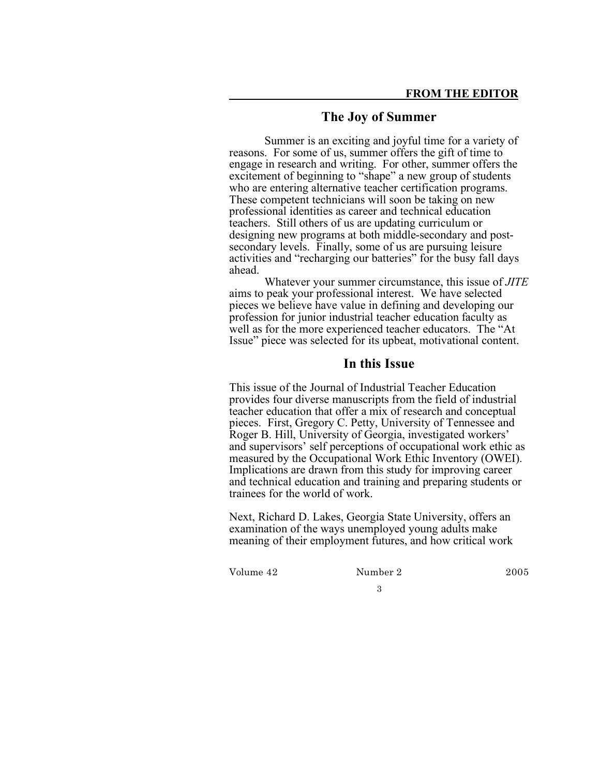## **The Joy of Summer**

Summer is an exciting and joyful time for a variety of reasons. For some of us, summer offers the gift of time to engage in research and writing. For other, summer offers the excitement of beginning to "shape" a new group of students who are entering alternative teacher certification programs. These competent technicians will soon be taking on new professional identities as career and technical education teachers. Still others of us are updating curriculum or designing new programs at both middle-secondary and post-secondary levels. Finally, some of us are pursuing leisure activities and "recharging our batteries" for the busy fall days ahead.

Whatever your summer circumstance, this issue of *JITE* aims to peak your professional interest. We have selected pieces we believe have value in defining and developing our profession for junior industrial teacher education faculty as well as for the more experienced teacher educators. The "At Issue" piece was selected for its upbeat, motivational content.

### **In this Issue**

This issue of the Journal of Industrial Teacher Education provides four diverse manuscripts from the field of industrial teacher education that offer a mix of research and conceptual pieces. First, Gregory C. Petty, University of Tennessee and Roger B. Hill, University of Georgia, investigated workers' and supervisors' self perceptions of occupational work ethic as measured by the Occupational Work Ethic Inventory (OWEI). Implications are drawn from this study for improving career and technical education and training and preparing students or trainees for the world of work.

Next, Richard D. Lakes, Georgia State University, offers an examination of the ways unemployed young adults make meaning of their employment futures, and how critical work

Volume 42 Number 2 2005

3